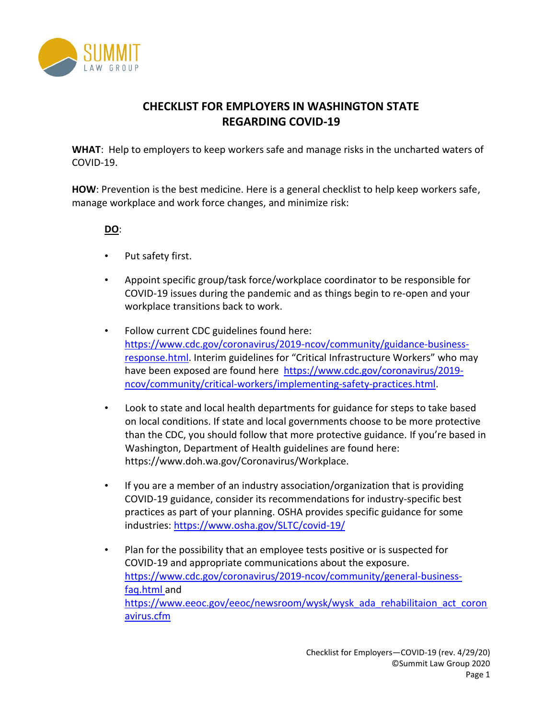

## **CHECKLIST FOR EMPLOYERS IN WASHINGTON STATE REGARDING COVID-19**

**WHAT**: Help to employers to keep workers safe and manage risks in the uncharted waters of COVID-19.

**HOW**: Prevention is the best medicine. Here is a general checklist to help keep workers safe, manage workplace and work force changes, and minimize risk:

**DO**:

- Put safety first.
- Appoint specific group/task force/workplace coordinator to be responsible for COVID-19 issues during the pandemic and as things begin to re-open and your workplace transitions back to work.
- Follow current CDC guidelines found here: [https://www.cdc.gov/coronavirus/2019-ncov/community/guidance-business](https://www.cdc.gov/coronavirus/2019-ncov/community/guidance-business-response.html)[response.html](https://www.cdc.gov/coronavirus/2019-ncov/community/guidance-business-response.html). Interim guidelines for "Critical Infrastructure Workers" who may have been exposed are found here [https://www.cdc.gov/coronavirus/2019](https://www.cdc.gov/coronavirus/2019-ncov/community/critical-workers/implementing-safety-practices.html) [ncov/community/critical-workers/implementing-safety-practices.html.](https://www.cdc.gov/coronavirus/2019-ncov/community/critical-workers/implementing-safety-practices.html)
- Look to state and local health departments for guidance for steps to take based on local conditions. If state and local governments choose to be more protective than the CDC, you should follow that more protective guidance. If you're based in Washington, Department of Health guidelines are found here: https://www.doh.wa.gov/Coronavirus/Workplace.
- If you are a member of an industry association/organization that is providing COVID-19 guidance, consider its recommendations for industry-specific best practices as part of your planning. OSHA provides specific guidance for some industries:<https://www.osha.gov/SLTC/covid-19/>
- Plan for the possibility that an employee tests positive or is suspected for COVID-19 and appropriate communications about the exposure. [https://www.cdc.gov/coronavirus/2019-ncov/community/general-business](https://www.cdc.gov/coronavirus/2019-ncov/community/general-business-faq.html)[faq.html](https://www.cdc.gov/coronavirus/2019-ncov/community/general-business-faq.html) and [https://www.eeoc.gov/eeoc/newsroom/wysk/wysk\\_ada\\_rehabilitaion\\_act\\_coron](https://www.eeoc.gov/eeoc/newsroom/wysk/wysk_ada_rehabilitaion_act_coronavirus.cfm) [avirus.cfm](https://www.eeoc.gov/eeoc/newsroom/wysk/wysk_ada_rehabilitaion_act_coronavirus.cfm)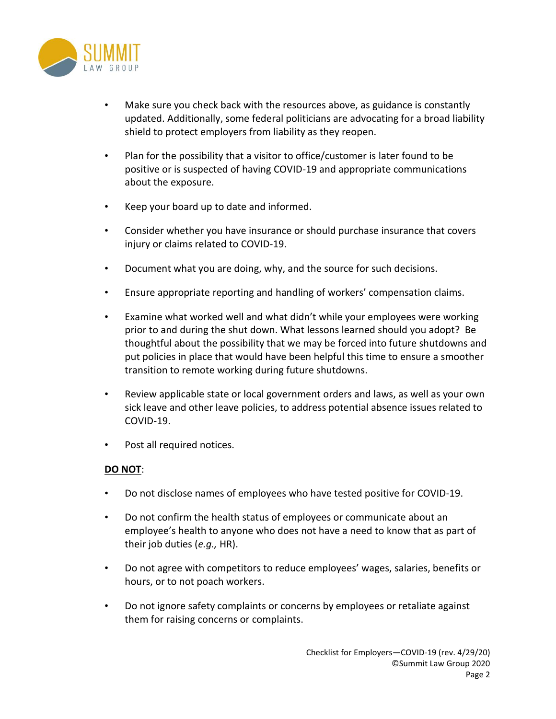

- Make sure you check back with the resources above, as guidance is constantly updated. Additionally, some federal politicians are advocating for a broad liability shield to protect employers from liability as they reopen.
- Plan for the possibility that a visitor to office/customer is later found to be positive or is suspected of having COVID-19 and appropriate communications about the exposure.
- Keep your board up to date and informed.
- Consider whether you have insurance or should purchase insurance that covers injury or claims related to COVID-19.
- Document what you are doing, why, and the source for such decisions.
- Ensure appropriate reporting and handling of workers' compensation claims.
- Examine what worked well and what didn't while your employees were working prior to and during the shut down. What lessons learned should you adopt? Be thoughtful about the possibility that we may be forced into future shutdowns and put policies in place that would have been helpful this time to ensure a smoother transition to remote working during future shutdowns.
- Review applicable state or local government orders and laws, as well as your own sick leave and other leave policies, to address potential absence issues related to COVID-19.
- Post all required notices.

## **DO NOT**:

- Do not disclose names of employees who have tested positive for COVID-19.
- Do not confirm the health status of employees or communicate about an employee's health to anyone who does not have a need to know that as part of their job duties (*e.g.,* HR).
- Do not agree with competitors to reduce employees' wages, salaries, benefits or hours, or to not poach workers.
- Do not ignore safety complaints or concerns by employees or retaliate against them for raising concerns or complaints.